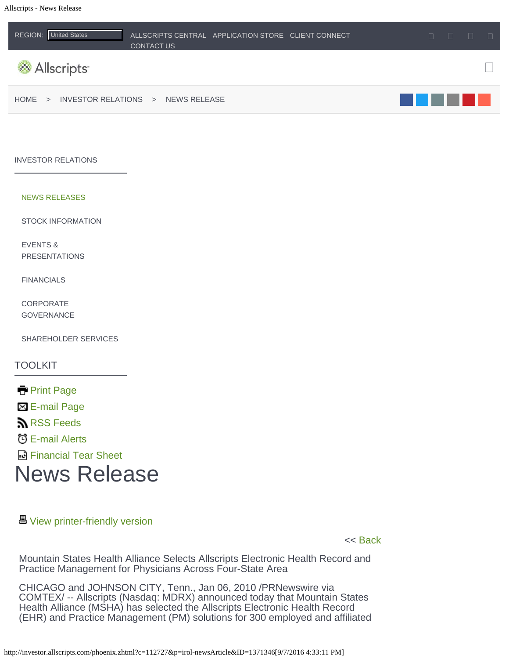<span id="page-0-0"></span>

#### [INVESTOR RELATIONS](http://investor.allscripts.com/phoenix.zhtml?c=112727&p=irol-irhome)

#### [NEWS RELEASES](http://investor.allscripts.com/phoenix.zhtml?c=112727&p=irol-news&nyo=0)

[STOCK INFORMATION](http://investor.allscripts.com/phoenix.zhtml?c=112727&p=irol-stockquote)

[EVENTS &](http://investor.allscripts.com/phoenix.zhtml?c=112727&p=irol-calendar) [PRESENTATIONS](http://investor.allscripts.com/phoenix.zhtml?c=112727&p=irol-calendar)

[FINANCIALS](http://investor.allscripts.com/phoenix.zhtml?c=112727&p=irol-sec)

[CORPORATE](http://investor.allscripts.com/phoenix.zhtml?c=112727&p=irol-govDocuments) **[GOVERNANCE](http://investor.allscripts.com/phoenix.zhtml?c=112727&p=irol-govDocuments)** 

[SHAREHOLDER SERVICES](http://investor.allscripts.com/phoenix.zhtml?c=112727&p=irol-inforeq)

TOOLKIT

**[Print Page](http://investor.allscripts.com/phoenix.zhtml?c=112727&p=irol-newsArticle_pf&ID=1371346)** [E-mail Page](http://investor.allscripts.com/phoenix.zhtml?c=112727&p=emailPage&rp=aHR0cDovL2ludmVzdG9yLmFsbHNjcmlwdHMuY29tL3Bob2VuaXguemh0bWw%2fYz0xMTI3MjcmcD1pcm9sLW5ld3NBcnRpY2xlJklEPTEzNzEzNDY%3d) **RSS** Feeds [E-mail Alerts](http://investor.allscripts.com/phoenix.zhtml?c=112727&p=irol-alerts&t=&id=&) [Financial Tear Sheet](http://investor.allscripts.com/Tearsheet.ashx?c=112727) News Release

## **图 [View printer-friendly version](http://investor.allscripts.com/phoenix.zhtml?c=112727&p=irol-newsArticle_print&ID=1371346)**

<< [Back](#page-0-0)

Mountain States Health Alliance Selects Allscripts Electronic Health Record and Practice Management for Physicians Across Four-State Area

CHICAGO and JOHNSON CITY, Tenn., Jan 06, 2010 /PRNewswire via COMTEX/ -- Allscripts (Nasdaq: MDRX) announced today that Mountain States Health Alliance (MSHA) has selected the Allscripts Electronic Health Record (EHR) and Practice Management (PM) solutions for 300 employed and affiliated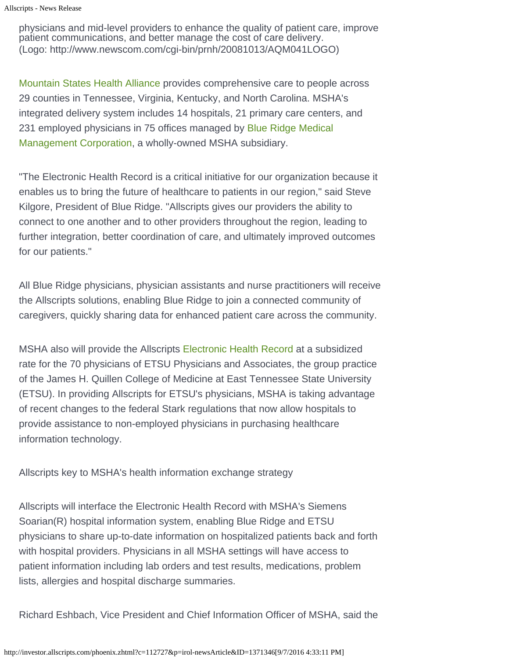physicians and mid-level providers to enhance the quality of patient care, improve patient communications, and better manage the cost of care delivery. (Logo: http://www.newscom.com/cgi-bin/prnh/20081013/AQM041LOGO)

[Mountain States Health Alliance](http://www.msha.com/) provides comprehensive care to people across 29 counties in Tennessee, Virginia, Kentucky, and North Carolina. MSHA's integrated delivery system includes 14 hospitals, 21 primary care centers, and 231 employed physicians in 75 offices managed by [Blue Ridge Medical](http://www.brmmc.net/) [Management Corporation,](http://www.brmmc.net/) a wholly-owned MSHA subsidiary.

"The Electronic Health Record is a critical initiative for our organization because it enables us to bring the future of healthcare to patients in our region," said Steve Kilgore, President of Blue Ridge. "Allscripts gives our providers the ability to connect to one another and to other providers throughout the region, leading to further integration, better coordination of care, and ultimately improved outcomes for our patients."

All Blue Ridge physicians, physician assistants and nurse practitioners will receive the Allscripts solutions, enabling Blue Ridge to join a connected community of caregivers, quickly sharing data for enhanced patient care across the community.

MSHA also will provide the Allscripts [Electronic Health Record](http://www.allscripts.com/products/electronic-health-record/allscripts-enterprise/default.asp) at a subsidized rate for the 70 physicians of ETSU Physicians and Associates, the group practice of the James H. Quillen College of Medicine at East Tennessee State University (ETSU). In providing Allscripts for ETSU's physicians, MSHA is taking advantage of recent changes to the federal Stark regulations that now allow hospitals to provide assistance to non-employed physicians in purchasing healthcare information technology.

Allscripts key to MSHA's health information exchange strategy

Allscripts will interface the Electronic Health Record with MSHA's Siemens Soarian(R) hospital information system, enabling Blue Ridge and ETSU physicians to share up-to-date information on hospitalized patients back and forth with hospital providers. Physicians in all MSHA settings will have access to patient information including lab orders and test results, medications, problem lists, allergies and hospital discharge summaries.

Richard Eshbach, Vice President and Chief Information Officer of MSHA, said the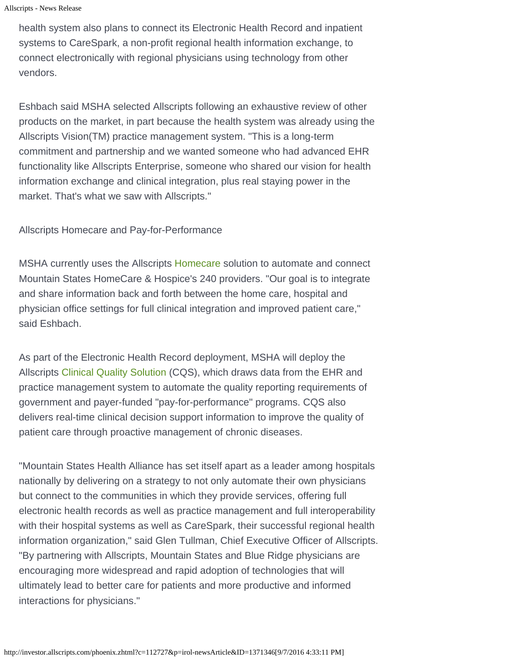```
Allscripts - News Release
```
health system also plans to connect its Electronic Health Record and inpatient systems to CareSpark, a non-profit regional health information exchange, to connect electronically with regional physicians using technology from other vendors.

Eshbach said MSHA selected Allscripts following an exhaustive review of other products on the market, in part because the health system was already using the Allscripts Vision(TM) practice management system. "This is a long-term commitment and partnership and we wanted someone who had advanced EHR functionality like Allscripts Enterprise, someone who shared our vision for health information exchange and clinical integration, plus real staying power in the market. That's what we saw with Allscripts."

Allscripts Homecare and Pay-for-Performance

MSHA currently uses the Allscripts [Homecare](http://www.allscripts.com/products/home-care/default.asp) solution to automate and connect Mountain States HomeCare & Hospice's 240 providers. "Our goal is to integrate and share information back and forth between the home care, hospital and physician office settings for full clinical integration and improved patient care," said Eshbach.

As part of the Electronic Health Record deployment, MSHA will deploy the Allscripts [Clinical Quality Solution](http://www.allscripts.com/products/electronic-health-record/allscripts-enterprise/addon-CQS.asp) (CQS), which draws data from the EHR and practice management system to automate the quality reporting requirements of government and payer-funded "pay-for-performance" programs. CQS also delivers real-time clinical decision support information to improve the quality of patient care through proactive management of chronic diseases.

"Mountain States Health Alliance has set itself apart as a leader among hospitals nationally by delivering on a strategy to not only automate their own physicians but connect to the communities in which they provide services, offering full electronic health records as well as practice management and full interoperability with their hospital systems as well as CareSpark, their successful regional health information organization," said Glen Tullman, Chief Executive Officer of Allscripts. "By partnering with Allscripts, Mountain States and Blue Ridge physicians are encouraging more widespread and rapid adoption of technologies that will ultimately lead to better care for patients and more productive and informed interactions for physicians."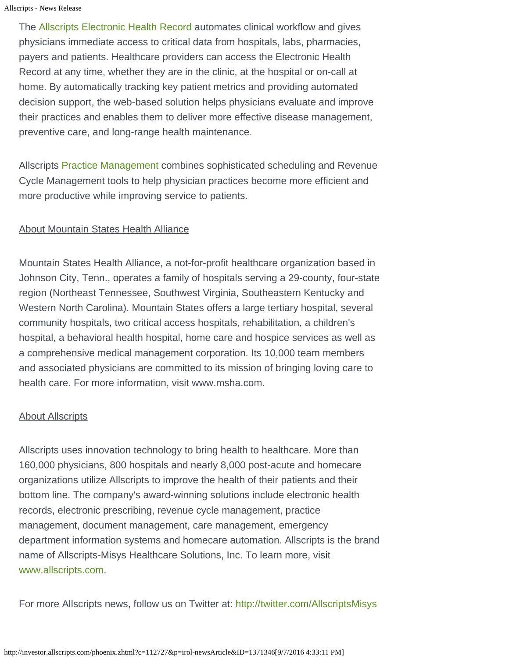```
Allscripts - News Release
```
The [Allscripts Electronic Health Record](http://www.allscripts.com/products/electronic-health-record/default.asp) automates clinical workflow and gives physicians immediate access to critical data from hospitals, labs, pharmacies, payers and patients. Healthcare providers can access the Electronic Health Record at any time, whether they are in the clinic, at the hospital or on-call at home. By automatically tracking key patient metrics and providing automated decision support, the web-based solution helps physicians evaluate and improve their practices and enables them to deliver more effective disease management, preventive care, and long-range health maintenance.

Allscripts [Practice Management](http://www.allscripts.com/products/practice-management/default.asp) combines sophisticated scheduling and Revenue Cycle Management tools to help physician practices become more efficient and more productive while improving service to patients.

## About Mountain States Health Alliance

Mountain States Health Alliance, a not-for-profit healthcare organization based in Johnson City, Tenn., operates a family of hospitals serving a 29-county, four-state region (Northeast Tennessee, Southwest Virginia, Southeastern Kentucky and Western North Carolina). Mountain States offers a large tertiary hospital, several community hospitals, two critical access hospitals, rehabilitation, a children's hospital, a behavioral health hospital, home care and hospice services as well as a comprehensive medical management corporation. Its 10,000 team members and associated physicians are committed to its mission of bringing loving care to health care. For more information, visit www.msha.com.

### **About Allscripts**

Allscripts uses innovation technology to bring health to healthcare. More than 160,000 physicians, 800 hospitals and nearly 8,000 post-acute and homecare organizations utilize Allscripts to improve the health of their patients and their bottom line. The company's award-winning solutions include electronic health records, electronic prescribing, revenue cycle management, practice management, document management, care management, emergency department information systems and homecare automation. Allscripts is the brand name of Allscripts-Misys Healthcare Solutions, Inc. To learn more, visit [www.allscripts.com.](http://www.allscripts.com/)

For more Allscripts news, follow us on Twitter at:<http://twitter.com/AllscriptsMisys>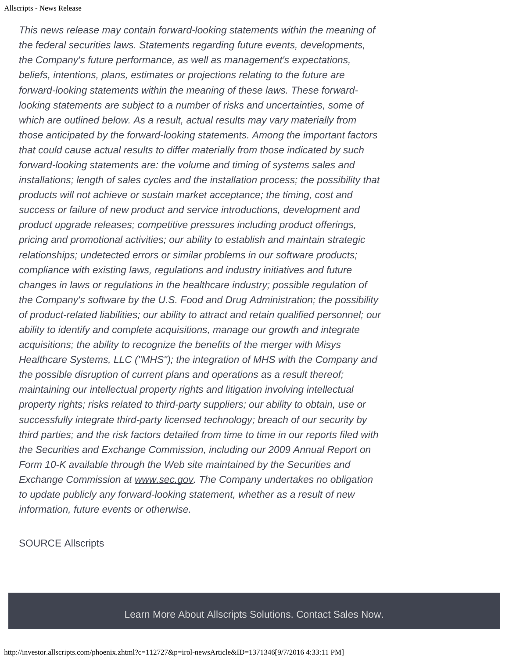*This news release may contain forward-looking statements within the meaning of the federal securities laws. Statements regarding future events, developments, the Company's future performance, as well as management's expectations, beliefs, intentions, plans, estimates or projections relating to the future are forward-looking statements within the meaning of these laws. These forwardlooking statements are subject to a number of risks and uncertainties, some of which are outlined below. As a result, actual results may vary materially from those anticipated by the forward-looking statements. Among the important factors that could cause actual results to differ materially from those indicated by such forward-looking statements are: the volume and timing of systems sales and installations; length of sales cycles and the installation process; the possibility that products will not achieve or sustain market acceptance; the timing, cost and success or failure of new product and service introductions, development and product upgrade releases; competitive pressures including product offerings, pricing and promotional activities; our ability to establish and maintain strategic relationships; undetected errors or similar problems in our software products; compliance with existing laws, regulations and industry initiatives and future changes in laws or regulations in the healthcare industry; possible regulation of the Company's software by the U.S. Food and Drug Administration; the possibility of product-related liabilities; our ability to attract and retain qualified personnel; our ability to identify and complete acquisitions, manage our growth and integrate acquisitions; the ability to recognize the benefits of the merger with Misys Healthcare Systems, LLC ("MHS"); the integration of MHS with the Company and the possible disruption of current plans and operations as a result thereof; maintaining our intellectual property rights and litigation involving intellectual property rights; risks related to third-party suppliers; our ability to obtain, use or successfully integrate third-party licensed technology; breach of our security by third parties; and the risk factors detailed from time to time in our reports filed with the Securities and Exchange Commission, including our 2009 Annual Report on Form 10-K available through the Web site maintained by the Securities and Exchange Commission at www.sec.gov. The Company undertakes no obligation to update publicly any forward-looking statement, whether as a result of new information, future events or otherwise.*

SOURCE Allscripts

Learn More About Allscripts Solutions. Contact Sales Now.